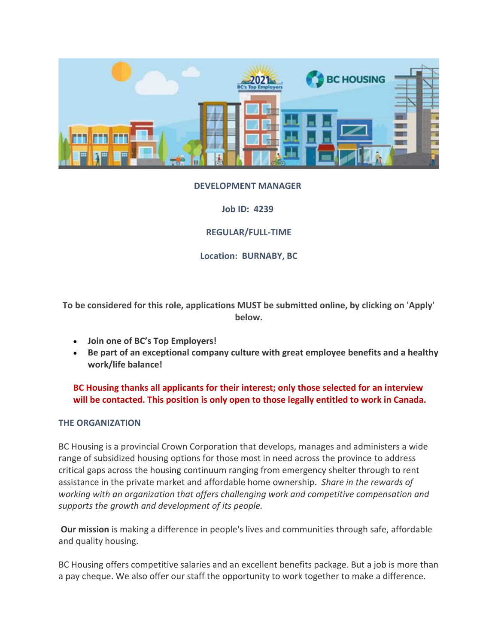

### **DEVELOPMENT MANAGER**

**Job ID: 4239**

**REGULAR/FULL-TIME**

**Location: BURNABY, BC**

**To be considered for this role, applications MUST be submitted online, by clicking on 'Apply' below.**

- **Join one of BC's Top Employers!**
- **Be part of an exceptional company culture with great employee benefits and a healthy work/life balance!**

**BC Housing thanks all applicants for their interest; only those selected for an interview will be contacted. This position is only open to those legally entitled to work in Canada.**

### **THE ORGANIZATION**

BC Housing is a provincial Crown Corporation that develops, manages and administers a wide range of subsidized housing options for those most in need across the province to address critical gaps across the housing continuum ranging from emergency shelter through to rent assistance in the private market and affordable home ownership. *Share in the rewards of working with an organization that offers challenging work and competitive compensation and supports the growth and development of its people.*

**Our mission** is making a difference in people's lives and communities through safe, affordable and quality housing.

BC Housing offers competitive salaries and an excellent benefits package. But a job is more than a pay cheque. We also offer our staff the opportunity to work together to make a difference.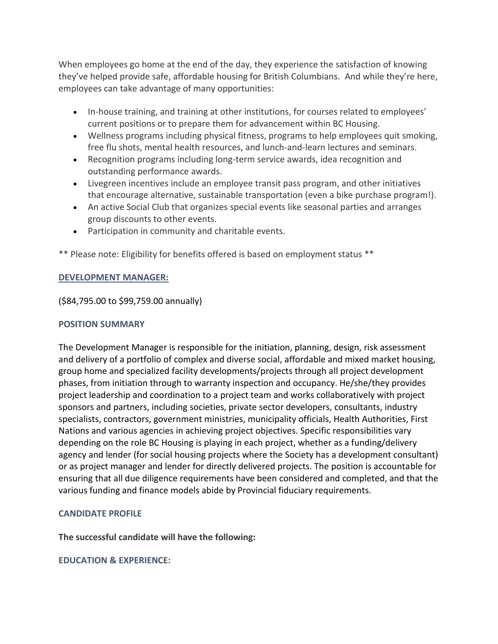When employees go home at the end of the day, they experience the satisfaction of knowing they've helped provide safe, affordable housing for British Columbians. And while they're here, employees can take advantage of many opportunities:

- In-house training, and training at other institutions, for courses related to employees' current positions or to prepare them for advancement within BC Housing.
- Wellness programs including physical fitness, programs to help employees quit smoking, free flu shots, mental health resources, and lunch-and-learn lectures and seminars.
- Recognition programs including long-term service awards, idea recognition and outstanding performance awards.
- Livegreen incentives include an employee transit pass program, and other initiatives that encourage alternative, sustainable transportation (even a bike purchase program!).
- An active Social Club that organizes special events like seasonal parties and arranges group discounts to other events.
- Participation in community and charitable events.

\*\* Please note: Eligibility for benefits offered is based on employment status \*\*

### **DEVELOPMENT MANAGER:**

(\$84,795.00 to \$99,759.00 annually)

## **POSITION SUMMARY**

The Development Manager is responsible for the initiation, planning, design, risk assessment and delivery of a portfolio of complex and diverse social, affordable and mixed market housing, group home and specialized facility developments/projects through all project development phases, from initiation through to warranty inspection and occupancy. He/she/they provides project leadership and coordination to a project team and works collaboratively with project sponsors and partners, including societies, private sector developers, consultants, industry specialists, contractors, government ministries, municipality officials, Health Authorities, First Nations and various agencies in achieving project objectives. Specific responsibilities vary depending on the role BC Housing is playing in each project, whether as a funding/delivery agency and lender (for social housing projects where the Society has a development consultant) or as project manager and lender for directly delivered projects. The position is accountable for ensuring that all due diligence requirements have been considered and completed, and that the various funding and finance models abide by Provincial fiduciary requirements.

### **CANDIDATE PROFILE**

**The successful candidate will have the following:**

### **EDUCATION & EXPERIENCE:**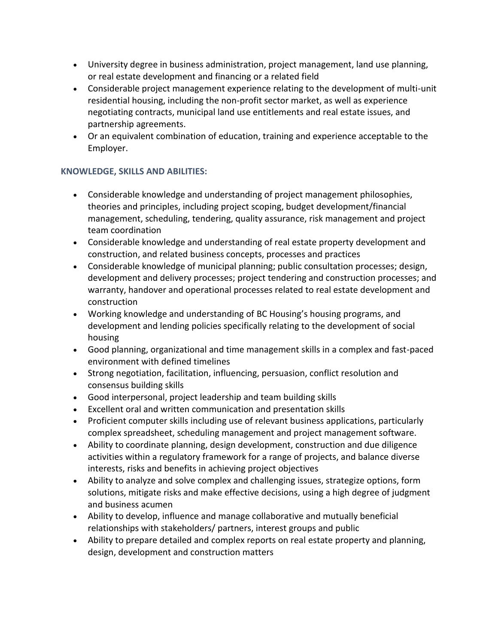- University degree in business administration, project management, land use planning, or real estate development and financing or a related field
- Considerable project management experience relating to the development of multi-unit residential housing, including the non-profit sector market, as well as experience negotiating contracts, municipal land use entitlements and real estate issues, and partnership agreements.
- Or an equivalent combination of education, training and experience acceptable to the Employer.

# **KNOWLEDGE, SKILLS AND ABILITIES:**

- Considerable knowledge and understanding of project management philosophies, theories and principles, including project scoping, budget development/financial management, scheduling, tendering, quality assurance, risk management and project team coordination
- Considerable knowledge and understanding of real estate property development and construction, and related business concepts, processes and practices
- Considerable knowledge of municipal planning; public consultation processes; design, development and delivery processes; project tendering and construction processes; and warranty, handover and operational processes related to real estate development and construction
- Working knowledge and understanding of BC Housing's housing programs, and development and lending policies specifically relating to the development of social housing
- Good planning, organizational and time management skills in a complex and fast-paced environment with defined timelines
- Strong negotiation, facilitation, influencing, persuasion, conflict resolution and consensus building skills
- Good interpersonal, project leadership and team building skills
- Excellent oral and written communication and presentation skills
- Proficient computer skills including use of relevant business applications, particularly complex spreadsheet, scheduling management and project management software.
- Ability to coordinate planning, design development, construction and due diligence activities within a regulatory framework for a range of projects, and balance diverse interests, risks and benefits in achieving project objectives
- Ability to analyze and solve complex and challenging issues, strategize options, form solutions, mitigate risks and make effective decisions, using a high degree of judgment and business acumen
- Ability to develop, influence and manage collaborative and mutually beneficial relationships with stakeholders/ partners, interest groups and public
- Ability to prepare detailed and complex reports on real estate property and planning, design, development and construction matters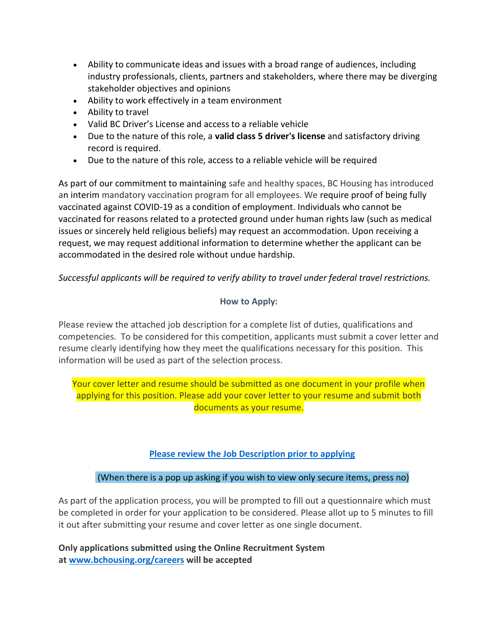- Ability to communicate ideas and issues with a broad range of audiences, including industry professionals, clients, partners and stakeholders, where there may be diverging stakeholder objectives and opinions
- Ability to work effectively in a team environment
- Ability to travel
- Valid BC Driver's License and access to a reliable vehicle
- Due to the nature of this role, a **valid class 5 driver's license** and satisfactory driving record is required.
- Due to the nature of this role, access to a reliable vehicle will be required

As part of our commitment to maintaining safe and healthy spaces, BC Housing has introduced an interim mandatory vaccination program for all employees. We require proof of being fully vaccinated against COVID-19 as a condition of employment. Individuals who cannot be vaccinated for reasons related to a protected ground under human rights law (such as medical issues or sincerely held religious beliefs) may request an accommodation. Upon receiving a request, we may request additional information to determine whether the applicant can be accommodated in the desired role without undue hardship.

*Successful applicants will be required to verify ability to travel under federal travel restrictions.*

# **How to Apply:**

Please review the attached job description for a complete list of duties, qualifications and competencies. To be considered for this competition, applicants must submit a cover letter and resume clearly identifying how they meet the qualifications necessary for this position. This information will be used as part of the selection process.

Your cover letter and resume should be submitted as one document in your profile when applying for this position. Please add your cover letter to your resume and submit both documents as your resume.

# **[Please review the Job Description prior to applying](https://www.bchousing.org/publications/JD-Development-Manager-Mar-2022.pdf)**

# (When there is a pop up asking if you wish to view only secure items, press no)

As part of the application process, you will be prompted to fill out a questionnaire which must be completed in order for your application to be considered. Please allot up to 5 minutes to fill it out after submitting your resume and cover letter as one single document.

**Only applications submitted using the Online Recruitment System at [www.bchousing.org/careers](http://www.bchousing.org/careers) will be accepted**